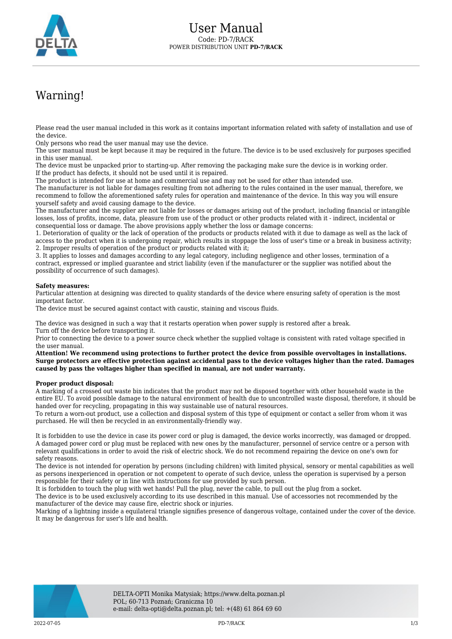

## Warning!

Please read the user manual included in this work as it contains important information related with safety of installation and use of the device.

Only persons who read the user manual may use the device.

The user manual must be kept because it may be required in the future. The device is to be used exclusively for purposes specified in this user manual.

The device must be unpacked prior to starting-up. After removing the packaging make sure the device is in working order. If the product has defects, it should not be used until it is repaired.

The product is intended for use at home and commercial use and may not be used for other than intended use.

The manufacturer is not liable for damages resulting from not adhering to the rules contained in the user manual, therefore, we recommend to follow the aforementioned safety rules for operation and maintenance of the device. In this way you will ensure yourself safety and avoid causing damage to the device.

The manufacturer and the supplier are not liable for losses or damages arising out of the product, including financial or intangible losses, loss of profits, income, data, pleasure from use of the product or other products related with it - indirect, incidental or consequential loss or damage. The above provisions apply whether the loss or damage concerns:

1. Deterioration of quality or the lack of operation of the products or products related with it due to damage as well as the lack of access to the product when it is undergoing repair, which results in stoppage the loss of user's time or a break in business activity; 2. Improper results of operation of the product or products related with it;

3. It applies to losses and damages according to any legal category, including negligence and other losses, termination of a contract, expressed or implied guarantee and strict liability (even if the manufacturer or the supplier was notified about the possibility of occurrence of such damages).

## **Safety measures:**

Particular attention at designing was directed to quality standards of the device where ensuring safety of operation is the most important factor.

The device must be secured against contact with caustic, staining and viscous fluids.

The device was designed in such a way that it restarts operation when power supply is restored after a break. Turn off the device before transporting it.

Prior to connecting the device to a power source check whether the supplied voltage is consistent with rated voltage specified in the user manual.

**Attention! We recommend using protections to further protect the device from possible overvoltages in installations. Surge protectors are effective protection against accidental pass to the device voltages higher than the rated. Damages caused by pass the voltages higher than specified in manual, are not under warranty.**

## **Proper product disposal:**

A marking of a crossed out waste bin indicates that the product may not be disposed together with other household waste in the entire EU. To avoid possible damage to the natural environment of health due to uncontrolled waste disposal, therefore, it should be handed over for recycling, propagating in this way sustainable use of natural resources.

To return a worn-out product, use a collection and disposal system of this type of equipment or contact a seller from whom it was purchased. He will then be recycled in an environmentally-friendly way.

It is forbidden to use the device in case its power cord or plug is damaged, the device works incorrectly, was damaged or dropped. A damaged power cord or plug must be replaced with new ones by the manufacturer, personnel of service centre or a person with relevant qualifications in order to avoid the risk of electric shock. We do not recommend repairing the device on one's own for safety reasons.

The device is not intended for operation by persons (including children) with limited physical, sensory or mental capabilities as well as persons inexperienced in operation or not competent to operate of such device, unless the operation is supervised by a person responsible for their safety or in line with instructions for use provided by such person.

It is forbidden to touch the plug with wet hands! Pull the plug, never the cable, to pull out the plug from a socket.

The device is to be used exclusively according to its use described in this manual. Use of accessories not recommended by the manufacturer of the device may cause fire, electric shock or injuries.

Marking of a lightning inside a equilateral triangle signifies presence of dangerous voltage, contained under the cover of the device. It may be dangerous for user's life and health.

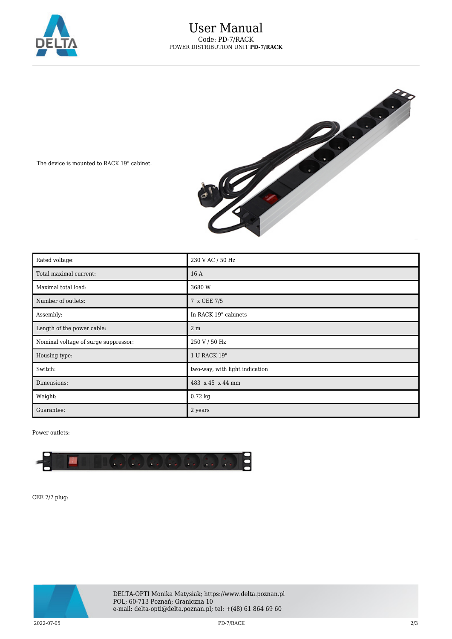



The device is mounted to RACK 19" cabinet.

| Rated voltage:                       | 230 V AC / 50 Hz               |
|--------------------------------------|--------------------------------|
| Total maximal current:               | 16 A                           |
| Maximal total load:                  | 3680 W                         |
| Number of outlets:                   | 7 x CEE 7/5                    |
| Assembly:                            | In RACK 19" cabinets           |
| Length of the power cable:           | 2 <sub>m</sub>                 |
| Nominal voltage of surge suppressor: | 250 V / 50 Hz                  |
| Housing type:                        | 1 U RACK 19"                   |
| Switch:                              | two-way, with light indication |
| Dimensions:                          | 483 x 45 x 44 mm               |
| Weight:                              | $0.72$ kg                      |
| Guarantee:                           | 2 years                        |

Power outlets:



CEE 7/7 plug: